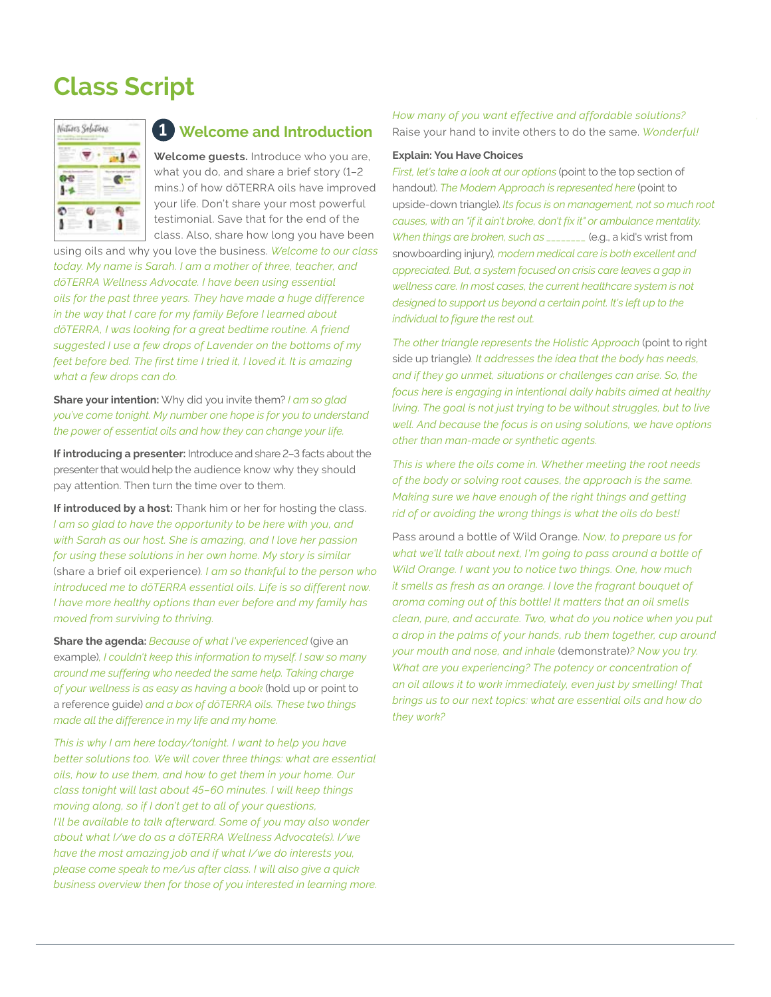# **Class Script**



## **Welcome and Introduction 1**

**Welcome guests.** Introduce who you are, what you do, and share a brief story (1–2 mins.) of how dōTERRA oils have improved your life. Don't share your most powerful testimonial. Save that for the end of the class. Also, share how long you have been

using oils and why you love the business. *Welcome to our class today. My name is Sarah. I am a mother of three, teacher, and dōTERRA Wellness Advocate. I have been using essential oils for the past three years. They have made a huge difference in the way that I care for my family Before I learned about dōTERRA, I was looking for a great bedtime routine. A friend suggested I use a few drops of Lavender on the bottoms of my feet before bed. The first time I tried it, I loved it. It is amazing what a few drops can do.*

**Share your intention:** Why did you invite them? *I am so glad you've come tonight. My number one hope is for you to understand the power of essential oils and how they can change your life.*

**If introducing a presenter:** Introduce and share 2–3 facts about the presenter that would help the audience know why they should pay attention. Then turn the time over to them.

**If introduced by a host:** Thank him or her for hosting the class. *I am so glad to have the opportunity to be here with you, and with Sarah as our host. She is amazing, and I love her passion for using these solutions in her own home. My story is similar*  (share a brief oil experience)*. I am so thankful to the person who introduced me to dōTERRA essential oils. Life is so different now. I have more healthy options than ever before and my family has moved from surviving to thriving.*

**Share the agenda:** *Because of what I've experienced* (give an example)*, I couldn't keep this information to myself. I saw so many around me suffering who needed the same help. Taking charge of your wellness is as easy as having a book* (hold up or point to a reference guide) *and a box of dōTERRA oils. These two things made all the difference in my life and my home.*

*This is why I am here today/tonight. I want to help you have better solutions too. We will cover three things: what are essential oils, how to use them, and how to get them in your home. Our class tonight will last about 45–60 minutes. I will keep things moving along, so if I don't get to all of your questions, I'll be available to talk afterward. Some of you may also wonder about what I/we do as a dōTERRA Wellness Advocate(s). I/we have the most amazing job and if what I/we do interests you, please come speak to me/us after class. I will also give a quick business overview then for those of you interested in learning more.* *How many of you want effective and affordable solutions?*  Raise your hand to invite others to do the same. *Wonderful!*

## **Explain: You Have Choices**

*First, let's take a look at our options* (point to the top section of handout). *The Modern Approach is represented here* (point to upside-down triangle). *Its focus is on management, not so much root causes, with an "if it ain't broke, don't fix it" or ambulance mentality. When things are broken, such as \_\_\_\_\_\_\_\_* (e.g., a kid's wrist from snowboarding injury)*, modern medical care is both excellent and appreciated. But, a system focused on crisis care leaves a gap in wellness care. In most cases, the current healthcare system is not designed to support us beyond a certain point. It's left up to the individual to figure the rest out.* 

*The other triangle represents the Holistic Approach* (point to right side up triangle)*. It addresses the idea that the body has needs, and if they go unmet, situations or challenges can arise. So, the focus here is engaging in intentional daily habits aimed at healthy living. The goal is not just trying to be without struggles, but to live well. And because the focus is on using solutions, we have options other than man-made or synthetic agents.*

*This is where the oils come in. Whether meeting the root needs of the body or solving root causes, the approach is the same. Making sure we have enough of the right things and getting rid of or avoiding the wrong things is what the oils do best!*

Pass around a bottle of Wild Orange. *Now, to prepare us for what we'll talk about next, I'm going to pass around a bottle of Wild Orange. I want you to notice two things. One, how much it smells as fresh as an orange. I love the fragrant bouquet of aroma coming out of this bottle! It matters that an oil smells clean, pure, and accurate. Two, what do you notice when you put a drop in the palms of your hands, rub them together, cup around your mouth and nose, and inhale* (demonstrate)*? Now you try. What are you experiencing? The potency or concentration of an oil allows it to work immediately, even just by smelling! That brings us to our next topics: what are essential oils and how do they work?*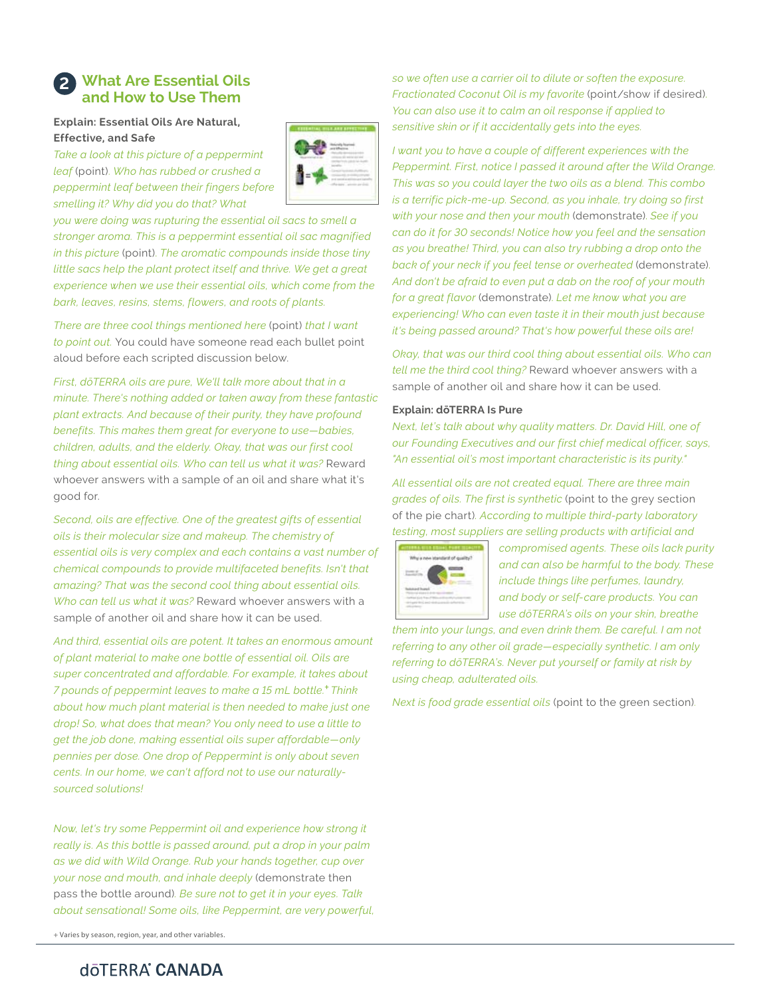## **What Are Essential Oils 2 and How to Use Them**

## **Explain: Essential Oils Are Natural, Effective, and Safe**

*Take a look at this picture of a peppermint leaf* (point). *Who has rubbed or crushed a peppermint leaf between their fingers before smelling it? Why did you do that? What* 



*you were doing was rupturing the essential oil sacs to smell a stronger aroma. This is a peppermint essential oil sac magnified in this picture* (point). *The aromatic compounds inside those tiny little sacs help the plant protect itself and thrive. We get a great experience when we use their essential oils, which come from the bark, leaves, resins, stems, flowers, and roots of plants.* 

*There are three cool things mentioned here* (point) *that I want to point out.* You could have someone read each bullet point aloud before each scripted discussion below.

*First, dōTERRA oils are pure, We'll talk more about that in a minute. There's nothing added or taken away from these fantastic plant extracts. And because of their purity, they have profound benefits. This makes them great for everyone to use—babies, children, adults, and the elderly. Okay, that was our first cool thing about essential oils. Who can tell us what it was?* Reward whoever answers with a sample of an oil and share what it's good for.

*Second, oils are effective. One of the greatest gifts of essential oils is their molecular size and makeup. The chemistry of essential oils is very complex and each contains a vast number of chemical compounds to provide multifaceted benefits. Isn't that amazing? That was the second cool thing about essential oils. Who can tell us what it was?* Reward whoever answers with a sample of another oil and share how it can be used.

*And third, essential oils are potent. It takes an enormous amount of plant material to make one bottle of essential oil. Oils are super concentrated and affordable. For example, it takes about 7 pounds of peppermint leaves to make a 15 mL bottle.+ Think about how much plant material is then needed to make just one drop! So, what does that mean? You only need to use a little to get the job done, making essential oils super affordable—only pennies per dose. One drop of Peppermint is only about seven cents. In our home, we can't afford not to use our naturallysourced solutions!*

*Now, let's try some Peppermint oil and experience how strong it really is. As this bottle is passed around, put a drop in your palm as we did with Wild Orange. Rub your hands together, cup over your nose and mouth, and inhale deeply* (demonstrate then pass the bottle around)*. Be sure not to get it in your eyes. Talk about sensational! Some oils, like Peppermint, are very powerful,* 

+ Varies by season, region, year, and other variables.

*so we often use a carrier oil to dilute or soften the exposure. Fractionated Coconut Oil is my favorite* (point/show if desired). *You can also use it to calm an oil response if applied to sensitive skin or if it accidentally gets into the eyes.*

*I want you to have a couple of different experiences with the Peppermint. First, notice I passed it around after the Wild Orange. This was so you could layer the two oils as a blend. This combo is a terrific pick-me-up. Second, as you inhale, try doing so first with your nose and then your mouth* (demonstrate). *See if you can do it for 30 seconds! Notice how you feel and the sensation as you breathe! Third, you can also try rubbing a drop onto the back of your neck if you feel tense or overheated* (demonstrate). *And don't be afraid to even put a dab on the roof of your mouth for a great flavor* (demonstrate). *Let me know what you are experiencing! Who can even taste it in their mouth just because it's being passed around? That's how powerful these oils are!*

*Okay, that was our third cool thing about essential oils. Who can tell me the third cool thing?* Reward whoever answers with a sample of another oil and share how it can be used.

## **Explain: dōTERRA Is Pure**

*Next, let's talk about why quality matters. Dr. David Hill, one of our Founding Executives and our first chief medical officer, says, "An essential oil's most important characteristic is its purity."*

*All essential oils are not created equal. There are three main grades of oils. The first is synthetic* (point to the grey section of the pie chart)*. According to multiple third-party laboratory testing, most suppliers are selling products with artificial and* 



*compromised agents. These oils lack purity and can also be harmful to the body. These include things like perfumes, laundry, and body or self-care products. You can use dōTERRA's oils on your skin, breathe* 

*them into your lungs, and even drink them. Be careful. I am not referring to any other oil grade—especially synthetic. I am only referring to dōTERRA's. Never put yourself or family at risk by using cheap, adulterated oils.* 

*Next is food grade essential oils* (point to the green section).

# dōTERRA<sup>®</sup> CANADA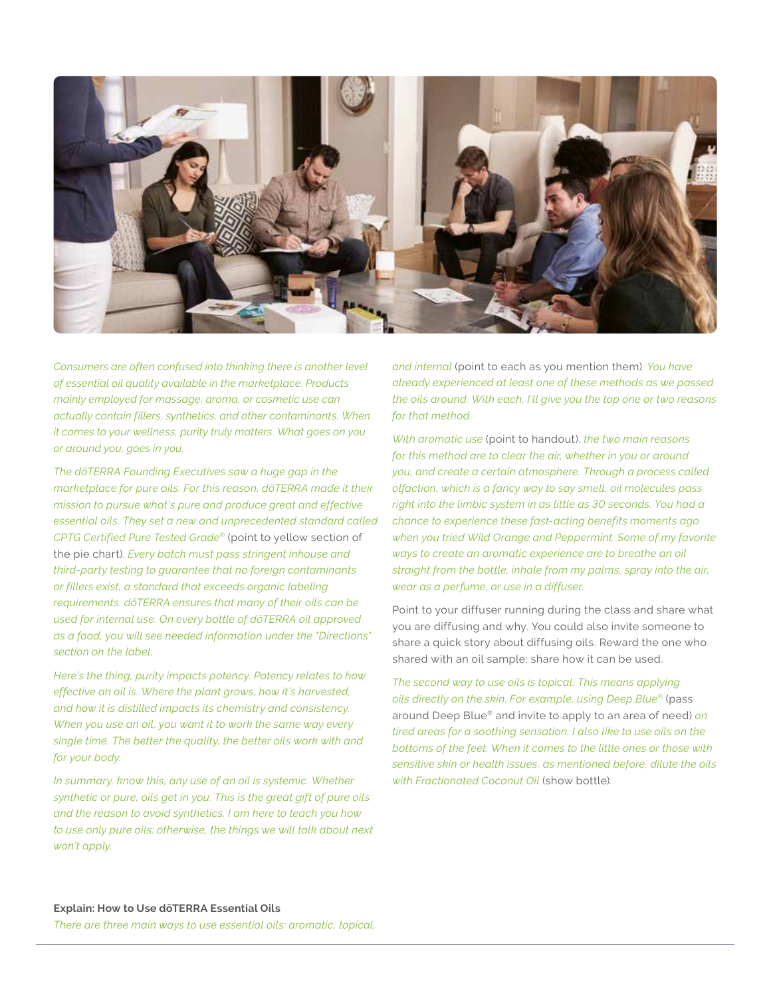

*Consumers are often confused into thinking there is another level of essential oil quality available in the marketplace. Products mainly employed for massage, aroma, or cosmetic use can actually contain fillers, synthetics, and other contaminants. When it comes to your wellness, purity truly matters. What goes on you or around you, goes in you.* 

*The dōTERRA Founding Executives saw a huge gap in the marketplace for pure oils. For this reason, dōTERRA made it their mission to pursue what's pure and produce great and effective essential oils. They set a new and unprecedented standard called CPTG Certified Pure Tested Grade®* (point to yellow section of the pie chart)*. Every batch must pass stringent inhouse and third-party testing to guarantee that no foreign contaminants or fillers exist, a standard that exceeds organic labeling requirements. dōTERRA ensures that many of their oils can be used for internal use. On every bottle of dōTERRA oil approved as a food, you will see needed information under the "Directions" section on the label.* 

*Here's the thing, purity impacts potency. Potency relates to how effective an oil is. Where the plant grows, how it's harvested, and how it is distilled impacts its chemistry and consistency. When you use an oil, you want it to work the same way every single time. The better the quality, the better oils work with and for your body.* 

*In summary, know this, any use of an oil is systemic. Whether synthetic or pure, oils get in you. This is the great gift of pure oils and the reason to avoid synthetics. I am here to teach you how to use only pure oils; otherwise, the things we will talk about next won't apply.* 

*and internal* (point to each as you mention them)*. You have already experienced at least one of these methods as we passed the oils around. With each, I'll give you the top one or two reasons for that method.* 

*With aromatic use* (point to handout), *the two main reasons for this method are to clear the air, whether in you or around you, and create a certain atmosphere. Through a process called olfaction, which is a fancy way to say smell, oil molecules pass right into the limbic system in as little as 30 seconds. You had a chance to experience these fast-acting benefits moments ago when you tried Wild Orange and Peppermint. Some of my favorite ways to create an aromatic experience are to breathe an oil straight from the bottle, inhale from my palms, spray into the air, wear as a perfume, or use in a diffuser.* 

Point to your diffuser running during the class and share what you are diffusing and why. You could also invite someone to share a quick story about diffusing oils. Reward the one who shared with an oil sample; share how it can be used.

*The second way to use oils is topical. This means applying oils directly on the skin. For example, using Deep Blue®* (pass around Deep Blue® and invite to apply to an area of need) *on tired areas for a soothing sensation. I also like to use oils on the bottoms of the feet. When it comes to the little ones or those with sensitive skin or health issues, as mentioned before, dilute the oils with Fractionated Coconut Oil* (show bottle)*.* 

## **Explain: How to Use dōTERRA Essential Oils**

*There are three main ways to use essential oils: aromatic, topical,*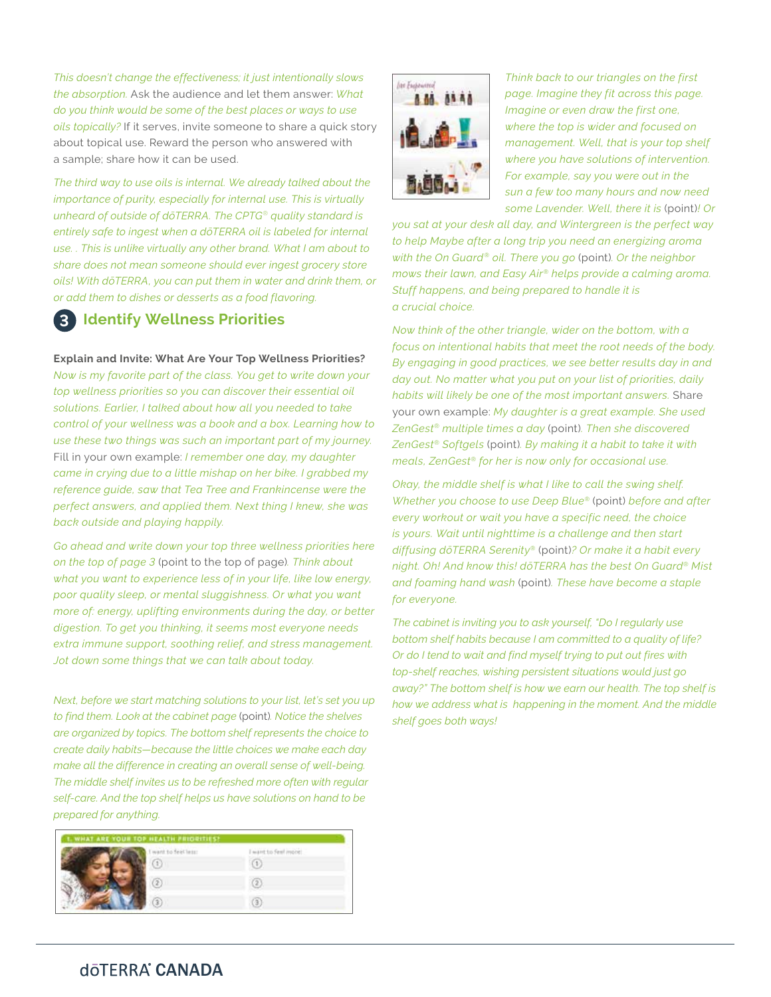*This doesn't change the effectiveness; it just intentionally slows the absorption.* Ask the audience and let them answer: *What do you think would be some of the best places or ways to use oils topically?* If it serves, invite someone to share a quick story about topical use. Reward the person who answered with a sample; share how it can be used.

*The third way to use oils is internal. We already talked about the importance of purity, especially for internal use. This is virtually unheard of outside of dōTERRA. The CPTG*® *quality standard is entirely safe to ingest when a dōTERRA oil is labeled for internal use. . This is unlike virtually any other brand. What I am about to share does not mean someone should ever ingest grocery store oils! With dōTERRA, you can put them in water and drink them, or or add them to dishes or desserts as a food flavoring.* 

#### **Identify Wellness Priorities 3**

**Explain and Invite: What Are Your Top Wellness Priorities?**

*Now is my favorite part of the class. You get to write down your top wellness priorities so you can discover their essential oil solutions. Earlier, I talked about how all you needed to take control of your wellness was a book and a box. Learning how to use these two things was such an important part of my journey.*  Fill in your own example: *I remember one day, my daughter came in crying due to a little mishap on her bike. I grabbed my reference guide, saw that Tea Tree and Frankincense were the perfect answers, and applied them. Next thing I knew, she was back outside and playing happily.* 

*Go ahead and write down your top three wellness priorities here on the top of page 3* (point to the top of page)*. Think about what you want to experience less of in your life, like low energy, poor quality sleep, or mental sluggishness. Or what you want more of: energy, uplifting environments during the day, or better digestion. To get you thinking, it seems most everyone needs extra immune support, soothing relief, and stress management. Jot down some things that we can talk about today.*

*Next, before we start matching solutions to your list, let's set you up to find them. Look at the cabinet page* (point)*. Notice the shelves are organized by topics. The bottom shelf represents the choice to create daily habits—because the little choices we make each day make all the difference in creating an overall sense of well-being. The middle shelf invites us to be refreshed more often with regular self-care. And the top shelf helps us have solutions on hand to be prepared for anything.*

| <b>1. WHAT ARE YOUR TOP HEALTH PRIORITIES!</b> |                      |
|------------------------------------------------|----------------------|
| ant to feet lett:                              | I want to feel more! |
|                                                |                      |
|                                                |                      |
|                                                |                      |



*Think back to our triangles on the first page. Imagine they fit across this page. Imagine or even draw the first one, where the top is wider and focused on management. Well, that is your top shelf where you have solutions of intervention. For example, say you were out in the sun a few too many hours and now need some Lavender. Well, there it is* (point)*! Or* 

*you sat at your desk all day, and Wintergreen is the perfect way to help Maybe after a long trip you need an energizing aroma with the On Guard® oil. There you go* (point)*. Or the neighbor mows their lawn, and Easy Air® helps provide a calming aroma. Stuff happens, and being prepared to handle it is a crucial choice.* 

*Now think of the other triangle, wider on the bottom, with a focus on intentional habits that meet the root needs of the body. By engaging in good practices, we see better results day in and day out. No matter what you put on your list of priorities, daily habits will likely be one of the most important answers.* Share your own example: *My daughter is a great example. She used ZenGest® multiple times a day* (point)*. Then she discovered ZenGest® Softgels* (point)*. By making it a habit to take it with meals, ZenGest® for her is now only for occasional use.*

*Okay, the middle shelf is what I like to call the swing shelf. Whether you choose to use Deep Blue®* (point) *before and after every workout or wait you have a specific need, the choice is yours. Wait until nighttime is a challenge and then start diffusing dōTERRA Serenity®* (point)*? Or make it a habit every night. Oh! And know this! dōTERRA has the best On Guard® Mist and foaming hand wash* (point)*. These have become a staple for everyone.* 

*The cabinet is inviting you to ask yourself, "Do I regularly use bottom shelf habits because I am committed to a quality of life? Or do I tend to wait and find myself trying to put out fires with top-shelf reaches, wishing persistent situations would just go away?" The bottom shelf is how we earn our health. The top shelf is how we address what is happening in the moment. And the middle shelf goes both ways!*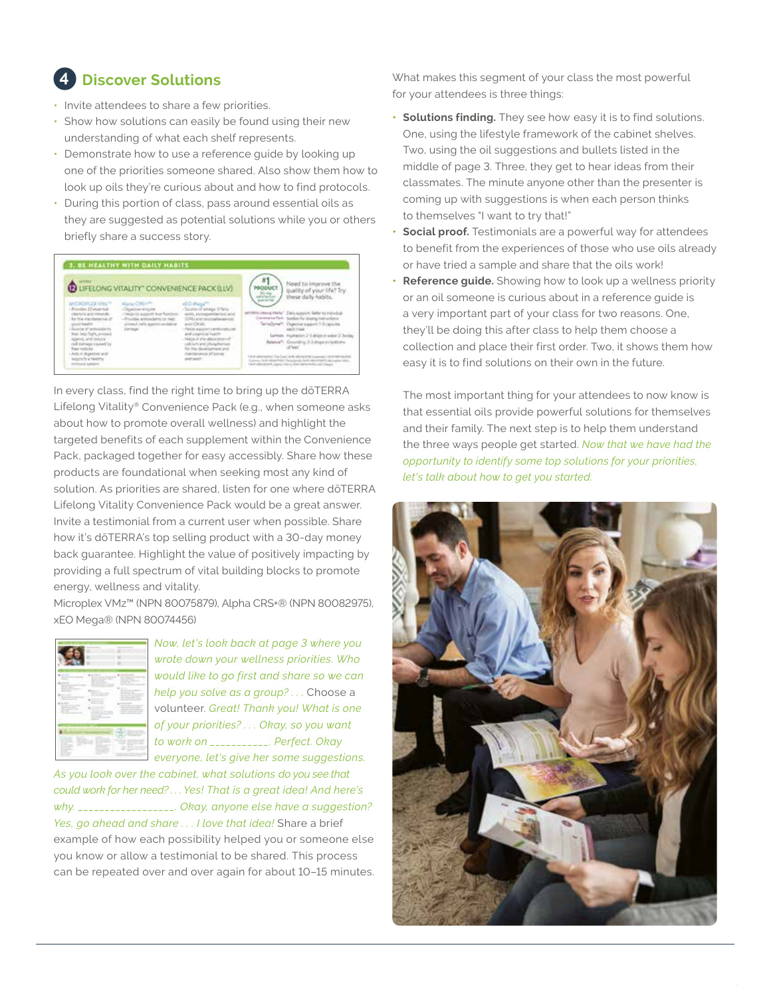# **Discover Solutions**

- Invite attendees to share a few priorities.
- Show how solutions can easily be found using their new understanding of what each shelf represents.
- Demonstrate how to use a reference guide by looking up one of the priorities someone shared. Also show them how to look up oils they're curious about and how to find protocols.
- During this portion of class, pass around essential oils as they are suggested as potential solutions while you or others briefly share a success story.



In every class, find the right time to bring up the dōTERRA Lifelong Vitality® Convenience Pack (e.g., when someone asks about how to promote overall wellness) and highlight the targeted benefits of each supplement within the Convenience Pack, packaged together for easy accessibly. Share how these products are foundational when seeking most any kind of solution. As priorities are shared, listen for one where dōTERRA Lifelong Vitality Convenience Pack would be a great answer. Invite a testimonial from a current user when possible. Share how it's dōTERRA's top selling product with a 30-day money back guarantee. Highlight the value of positively impacting by providing a full spectrum of vital building blocks to promote energy, wellness and vitality.

Microplex VMz™ (NPN 80075879), Alpha CRS+® (NPN 80082975), xEO Mega® (NPN 80074456)

| <br>--<br><br>.<br> | -<br>$-11$<br>٠<br>. .<br>$\frac{1}{2} \left( \frac{1}{2} \right) \left( \frac{1}{2} \right) \left( \frac{1}{2} \right) \left( \frac{1}{2} \right) \left( \frac{1}{2} \right) \left( \frac{1}{2} \right) \left( \frac{1}{2} \right) \left( \frac{1}{2} \right) \left( \frac{1}{2} \right) \left( \frac{1}{2} \right) \left( \frac{1}{2} \right) \left( \frac{1}{2} \right) \left( \frac{1}{2} \right) \left( \frac{1}{2} \right) \left( \frac{1}{2} \right) \left( \frac{1}{2} \right) \left( \frac$<br>___<br>-<br>---<br>__<br>-<br>_ |
|---------------------|-----------------------------------------------------------------------------------------------------------------------------------------------------------------------------------------------------------------------------------------------------------------------------------------------------------------------------------------------------------------------------------------------------------------------------------------------------------------------------------------------------------------------------------------|
| -                   |                                                                                                                                                                                                                                                                                                                                                                                                                                                                                                                                         |

*Now, let's look back at page 3 where you wrote down your wellness priorities. Who would like to go first and share so we can help you solve as a group? . . .* Choose a volunteer. *Great! Thank you! What is one of your priorities? . . . Okay, so you want to work on \_\_\_\_\_\_\_\_\_\_\_. Perfect. Okay everyone, let's give her some suggestions.* 

*As you look over the cabinet, what solutions do you see that could work for her need? . . . Yes! That is a great idea! And here's why. \_\_\_\_\_\_\_\_\_\_\_\_\_\_\_\_\_\_. Okay, anyone else have a suggestion? Yes, go ahead and share . . . I love that idea!* Share a brief example of how each possibility helped you or someone else you know or allow a testimonial to be shared. This process can be repeated over and over again for about 10–15 minutes. **4** What makes this segment of your class the most powerful for your attendees is three things:

- **• Solutions finding.** They see how easy it is to find solutions. One, using the lifestyle framework of the cabinet shelves. Two, using the oil suggestions and bullets listed in the middle of page 3. Three, they get to hear ideas from their classmates. The minute anyone other than the presenter is coming up with suggestions is when each person thinks to themselves "I want to try that!"
- **• Social proof.** Testimonials are a powerful way for attendees to benefit from the experiences of those who use oils already or have tried a sample and share that the oils work!
- **• Reference guide.** Showing how to look up a wellness priority or an oil someone is curious about in a reference guide is a very important part of your class for two reasons. One, they'll be doing this after class to help them choose a collection and place their first order. Two, it shows them how easy it is to find solutions on their own in the future.

The most important thing for your attendees to now know is that essential oils provide powerful solutions for themselves and their family. The next step is to help them understand the three ways people get started. *Now that we have had the opportunity to identify some top solutions for your priorities, let's talk about how to get you started.*

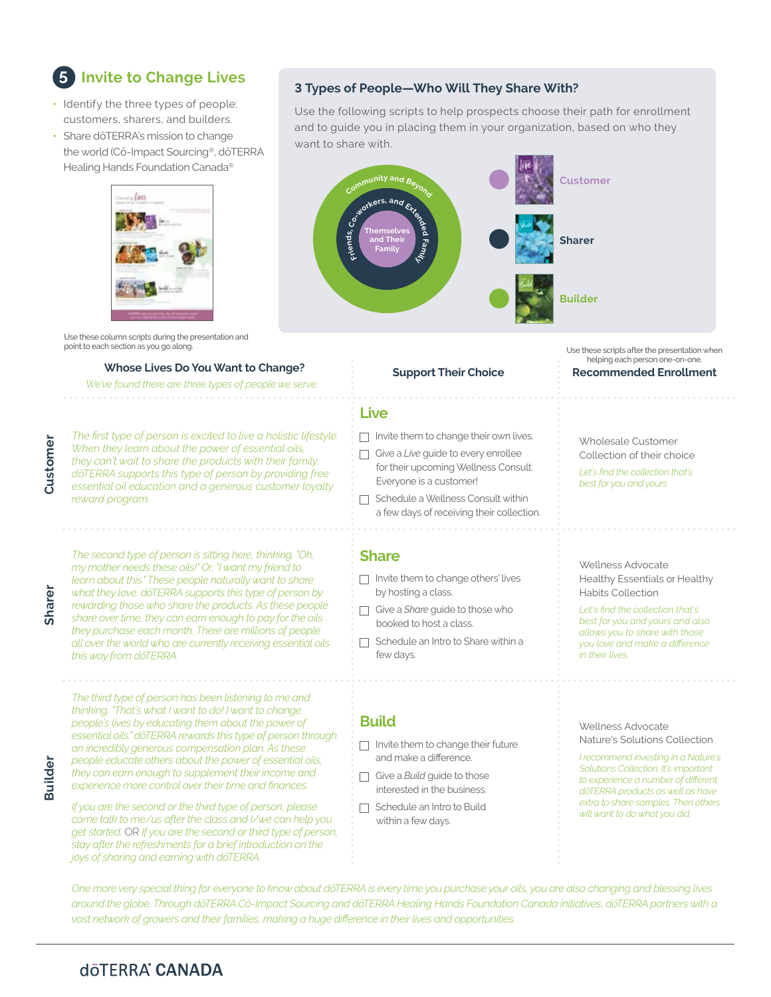## **Invite to Change Lives 5**

- Identify the three types of people: customers, sharers, and builders.
- Share dōTERRA's mission to change the world (Cō-Impact Sourcing®, dōTERRA Healing Hands Foundation Canada®



Use these column scripts during the presentation and<br>point to each section as you go along.

*We've found there are three types of people we serve.*

**Sharer**

**Builde** 

*The first type of person is excited to live a holistic lifestyle. When they learn about the power of essential oils, they can't wait to share the products with their family. dōTERRA supports this type of person by providing free essential oil education and a generous customer loyalty reward program.*

*The second type of person is sitting here, thinking, "Oh, my mother needs these oils!" Or, "I want my friend to learn about this." These people naturally want to share what they love. dōTERRA supports this type of person by rewarding those who share the products. As these people share over time, they can earn enough to pay for the oils they purchase each month. There are millions of people all over the world who are currently receiving essential oils this way from dōTERRA.*

*The third type of person has been listening to me and thinking, "That's what I want to do! I want to change people's lives by educating them about the power of essential oils." dōTERRA rewards this type of person through an incredibly generous compensation plan. As these people educate others about the power of essential oils, they can earn enough to supplement their income and experience more control over their time and finances.*

*If you are the second or the third type of person, please come talk to me/us after the class and I/we can help you get started.* OR *If you are the second or third type of person, stay after the refreshments for a brief introduction on the joys of sharing and earning with dōTERRA.*

## **3 Types of People—Who Will They Share With?**

Use the following scripts to help prospects choose their path for enrollment and to guide you in placing them in your organization, based on who they want to share with.



Use these scripts after the presentation when helping each person one-on-one.

### **Whose Lives Do You Want to Change? Support Their Choice Recommended Enrollment Live** □ Invite them to change their own lives. Wholesale Customer □ Give a *Live* guide to every enrollee Collection of their choice for their upcoming Wellness Consult. *Let's find the collection that's*  Everyone is a customer! *best for you and yours.* **1** Schedule a Wellness Consult within a few days of receiving their collection. **Share** Wellness Advocate **1** Invite them to change others' lives Healthy Essentials or Healthy by hosting a class. Habits Collection *Let's find the collection that's*  Give a *Share* guide to those who *best for you and yours and also*  booked to host a class. *allows you to share with those*   $\Box$  Schedule an Intro to Share within a *you love and make a difference*  few days. *in their lives.* **Build** Wellness Advocate Nature's Solutions Collection  $\Box$  Invite them to change their future and make a difference. *I recommend investing in a Nature's Solutions Collection. It's important*  Give a **Build** guide to those *to experience a number of different*  interested in the business. *dōTERRA products as well as have extra to share samples. Then others*  □ Schedule an Intro to Build *will want to do what you did.*  within a few days.

*One more very special thing for everyone to know about dōTERRA is every time you purchase your oils, you are also changing and blessing lives around the globe. Through dōTERRA Cō-Impact Sourcing and dōTERRA Healing Hands Foundation Canada initiatives, dōTERRA partners with a vast network of growers and their families, making a huge difference in their lives and opportunities.*

# dōTERRA<sup>®</sup> CANADA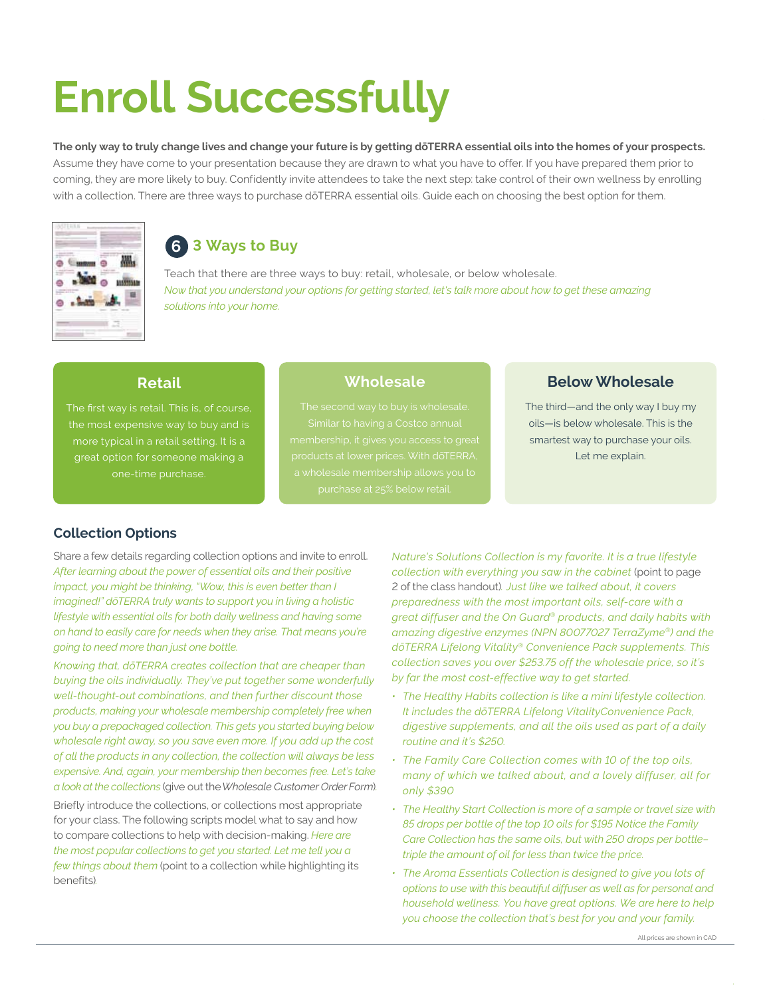# **Enroll Successfully**

The only way to truly change lives and change your future is by getting doTERRA essential oils into the homes of your prospects. Assume they have come to your presentation because they are drawn to what you have to offer. If you have prepared them prior to coming, they are more likely to buy. Confidently invite attendees to take the next step: take control of their own wellness by enrolling with a collection. There are three ways to purchase dōTERRA essential oils. Guide each on choosing the best option for them.



# **3 Ways to Buy 6**

Teach that there are three ways to buy: retail, wholesale, or below wholesale. *Now that you understand your options for getting started, let's talk more about how to get these amazing solutions into your home.*

## **Retail**

the most expensive way to buy and is more typical in a retail setting. It is a great option for someone making a one-time purchase.

# **Wholesale**

# **Below Wholesale**

The third—and the only way I buy my oils—is below wholesale. This is the smartest way to purchase your oils. Let me explain.

# **Collection Options**

Share a few details regarding collection options and invite to enroll. *After learning about the power of essential oils and their positive impact, you might be thinking, "Wow, this is even better than I imagined!" dōTERRA truly wants to support you in living a holistic lifestyle with essential oils for both daily wellness and having some on hand to easily care for needs when they arise. That means you're going to need more than just one bottle.* 

*Knowing that, dōTERRA creates collection that are cheaper than buying the oils individually. They've put together some wonderfully well-thought-out combinations, and then further discount those products, making your wholesale membership completely free when you buy a prepackaged collection. This gets you started buying below wholesale right away, so you save even more. If you add up the cost of all the products in any collection, the collection will always be less expensive. And, again, your membership then becomes free. Let's take a look at the collections* (give out the *Wholesale Customer Order Form*)*.* 

Briefly introduce the collections, or collections most appropriate for your class. The following scripts model what to say and how to compare collections to help with decision-making. *Here are the most popular collections to get you started. Let me tell you a few things about them* (point to a collection while highlighting its benefits)*.*

*Nature's Solutions Collection is my favorite. It is a true lifestyle collection with everything you saw in the cabinet* (point to page 2 of the class handout)*. Just like we talked about, it covers preparedness with the most important oils, self-care with a great diffuser and the On Guard® products, and daily habits with amazing digestive enzymes (NPN 80077027 TerraZyme®) and the dōTERRA Lifelong Vitality® Convenience Pack supplements. This collection saves you over \$253.75 off the wholesale price, so it's by far the most cost-effective way to get started.*

- *• The Healthy Habits collection is like a mini lifestyle collection. It includes the dōTERRA Lifelong VitalityConvenience Pack, digestive supplements, and all the oils used as part of a daily routine and it's \$250.*
- *• The Family Care Collection comes with 10 of the top oils, many of which we talked about, and a lovely diffuser, all for only \$390*
- *• The Healthy Start Collection is more of a sample or travel size with 85 drops per bottle of the top 10 oils for \$195 Notice the Family Care Collection has the same oils, but with 250 drops per bottle– triple the amount of oil for less than twice the price.*
- *• The Aroma Essentials Collection is designed to give you lots of options to use with this beautiful diffuser as well as for personal and household wellness. You have great options. We are here to help you choose the collection that's best for you and your family.*